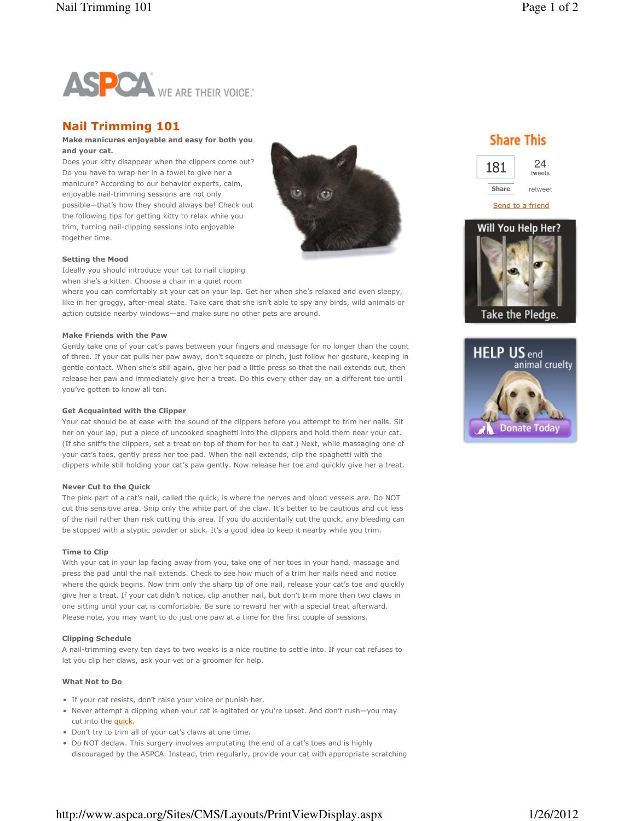

# Nail Trimming 101

## Make manicures enjoyable and easy for both you and your cat.

Does your kitty disappear when the clippers come out? Do you have to wrap her in a towel to give her a manicure? According to our behavior experts, calm, enjoyable nail-trimming sessions are not only possible—that's how they should always be! Check out the following tips for getting kitty to relax while you trim, turning nail-clipping sessions into enjoyable together time.



### Setting the Mood

Ideally you should introduce your cat to nail clipping when she's a kitten. Choose a chair in a quiet room

where you can comfortably sit your cat on your lap. Get her when she's relaxed and even sleepy, like in her groggy, after-meal state. Take care that she isn't able to spy any birds, wild animals or action outside nearby windows—and make sure no other pets are around.

### Make Friends with the Paw

Gently take one of your cat's paws between your fingers and massage for no longer than the count of three. If your cat pulls her paw away, don't squeeze or pinch, just follow her gesture, keeping in gentle contact. When she's still again, give her pad a little press so that the nail extends out, then release her paw and immediately give her a treat. Do this every other day on a different toe until you've gotten to know all ten.

## Get Acquainted with the Clipper

Your cat should be at ease with the sound of the clippers before you attempt to trim her nails. Sit her on your lap, put a piece of uncooked spaghetti into the clippers and hold them near your cat. (If she sniffs the clippers, set a treat on top of them for her to eat.) Next, while massaging one of your cat's toes, gently press her toe pad. When the nail extends, clip the spaghetti with the clippers while still holding your cat's paw gently. Now release her toe and quickly give her a treat.

#### Never Cut to the Quick

The pink part of a cat's nail, called the quick, is where the nerves and blood vessels are. Do NOT cut this sensitive area. Snip only the white part of the claw. It's better to be cautious and cut less of the nail rather than risk cutting this area. If you do accidentally cut the quick, any bleeding can be stopped with a styptic powder or stick. It's a good idea to keep it nearby while you trim.

#### Time to Clip

With your cat in your lap facing away from you, take one of her toes in your hand, massage and press the pad until the nail extends. Check to see how much of a trim her nails need and notice where the quick begins. Now trim only the sharp tip of one nail, release your cat's toe and quickly give her a treat. If your cat didn't notice, clip another nail, but don't trim more than two claws in one sitting until your cat is comfortable. Be sure to reward her with a special treat afterward. Please note, you may want to do just one paw at a time for the first couple of sessions.

## Clipping Schedule

A nail-trimming every ten days to two weeks is a nice routine to settle into. If your cat refuses to let you clip her claws, ask your vet or a groomer for help.

## What Not to Do

- If your cat resists, don't raise your voice or punish her.
- Never attempt a clipping when your cat is agitated or you're upset. And don't rush—you may cut into the **quick**.
- Don't try to trim all of your cat's claws at one time.
- Do NOT declaw. This surgery involves amputating the end of a cat's toes and is highly discouraged by the ASPCA. Instead, trim regularly, provide your cat with appropriate scratching